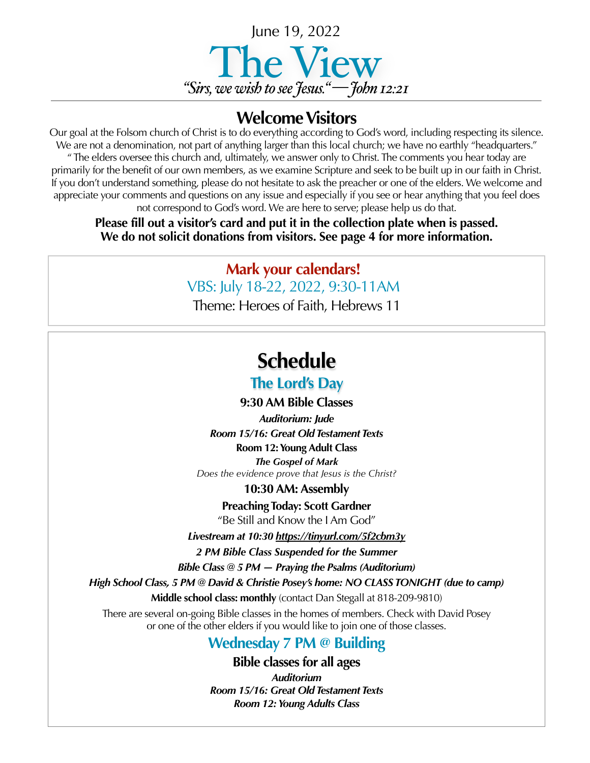

### **Welcome Visitors**

Our goal at the Folsom church of Christ is to do everything according to God's word, including respecting its silence. We are not a denomination, not part of anything larger than this local church; we have no earthly "headquarters." " The elders oversee this church and, ultimately, we answer only to Christ. The comments you hear today are primarily for the benefit of our own members, as we examine Scripture and seek to be built up in our faith in Christ. If you don't understand something, please do not hesitate to ask the preacher or one of the elders. We welcome and appreciate your comments and questions on any issue and especially if you see or hear anything that you feel does not correspond to God's word. We are here to serve; please help us do that.

**Please fill out a visitor's card and put it in the collection plate when is passed. We do not solicit donations from visitors. See page 4 for more information.**

> **Mark your calendars!** VBS: July 18-22, 2022, 9:30-11AM

Theme: Heroes of Faith, Hebrews 11

### **Schedule**

#### **The Lord's Day**

**9:30 AM Bible Classes**

*Auditorium: Jude Room 15/16: Great Old Testament Texts* **Room 12: Young Adult Class** *The Gospel of Mark*

*Does the evidence prove that Jesus is the Christ?*

**10:30 AM: Assembly**

**Preaching Today: Scott Gardner** "Be Still and Know the I Am God"

*Livestream at 10:30<https://tinyurl.com/5f2cbm3y>*

*2 PM Bible Class Suspended for the Summer*

*Bible Class @ 5 PM — Praying the Psalms (Auditorium)*

*High School Class, 5 PM @ David & Christie Posey's home: NO CLASS TONIGHT (due to camp)* 

**Middle school class: monthly** (contact Dan Stegall at 818-209-9810)

There are several on-going Bible classes in the homes of members. Check with David Posey or one of the other elders if you would like to join one of those classes.

### **Wednesday 7 PM @ Building**

**Bible classes for all ages**

*Auditorium Room 15/16: Great Old Testament Texts Room 12: Young Adults Class*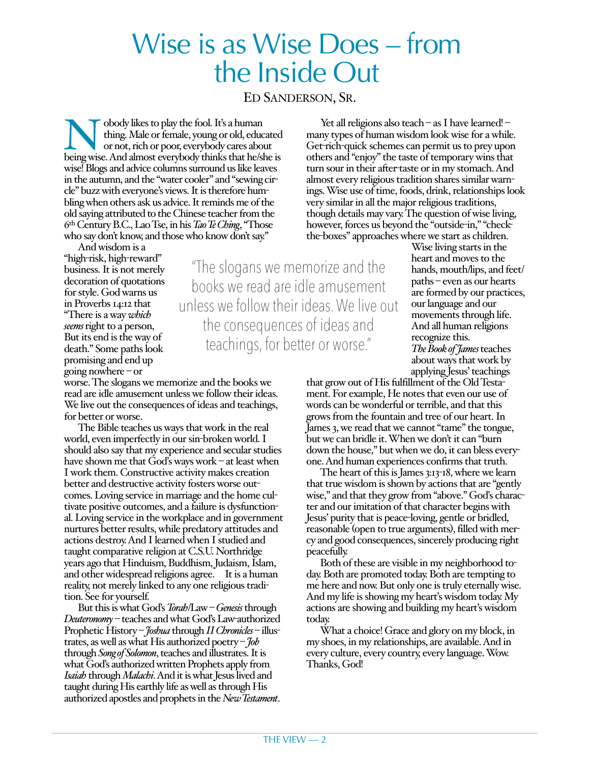## Wise is as Wise Does – from the Inside Out

ED SANDERSON, SR.

"The slogans we memorize and the books we read are idle amusement unless we follow their ideas. We live out

the consequences of ideas and

teachings, for better or worse."

**Nobody likes to play the fool. It's a human thing. Male or female, young or old, educated or not, rich or poor, everybody cares about being wise. And almost everybody thinks that he/she is** thing. Male or female, young or old, educated or not, rich or poor, everybody cares about wise! Blogs and advice columns surround us like leaves in the autumn, and the "water cooler" and "sewing circle" buzz with everyone's views. It is therefore humbling when others ask us advice. It reminds me of the old saying attributed to the Chinese teacher from the 6th Century B.C., Lao Tse, in his *Tao Te Ching*, "Those who say don't know, and those who know don't say."

And wisdom is a "high-risk, high-reward" business. It is not merely decoration of quotations for style. God warns us in Proverbs 14:12 that "There is a way *which seems* right to a person, But its end is the way of death." Some paths look promising and end up going nowhere – or

worse. The slogans we memorize and the books we read are idle amusement unless we follow their ideas. We live out the consequences of ideas and teachings, for better or worse.

The Bible teaches us ways that work in the real world, even imperfectly in our sin-broken world. I should also say that my experience and secular studies have shown me that God's ways work – at least when I work them. Constructive activity makes creation better and destructive activity fosters worse outcomes. Loving service in marriage and the home cultivate positive outcomes, and a failure is dysfunctional. Loving service in the workplace and in government nurtures better results, while predatory attitudes and actions destroy. And I learned when I studied and taught comparative religion at C.S.U. Northridge years ago that Hinduism, Buddhism, Judaism, Islam, and other widespread religions agree. It is a human reality, not merely linked to any one religious tradition. See for yourself.

But this is what God's *Torah*/Law – *Genesis* through *Deuteronomy* – teaches and what God's Law-authorized Prophetic History – *Joshua* through *II Chronicles* – illustrates, as well as what His authorized poetry – *Job* through *Song of Solomon*, teaches and illustrates. It is what God's authorized written Prophets apply from *Isaiah* through *Malachi*. And it is what Jesus lived and taught during His earthly life as well as through His authorized apostles and prophets in the *New Testament*.

Yet all religions also teach – as I have learned! – many types of human wisdom look wise for a while. Get-rich-quick schemes can permit us to prey upon others and "enjoy" the taste of temporary wins that turn sour in their after-taste or in my stomach. And almost every religious tradition shares similar warnings. Wise use of time, foods, drink, relationships look very similar in all the major religious traditions, though details may vary. The question of wise living, however, forces us beyond the "outside-in," "checkthe-boxes" approaches where we start as children.

> Wise living starts in the heart and moves to the hands, mouth/lips, and feet/ paths – even as our hearts are formed by our practices, our language and our movements through life. And all human religions recognize this. *The Book of James* teaches about ways that work by applying Jesus' teachings

that grow out of His fulfillment of the Old Testament. For example, He notes that even our use of words can be wonderful or terrible, and that this grows from the fountain and tree of our heart. In James 3, we read that we cannot "tame" the tongue, but we can bridle it. When we don't it can "burn down the house," but when we do, it can bless everyone. And human experiences confirms that truth.

The heart of this is James 3:13-18, where we learn that true wisdom is shown by actions that are "gently wise," and that they grow from "above." God's character and our imitation of that character begins with Jesus' purity that is peace-loving, gentle or bridled, reasonable (open to true arguments), filled with mercy and good consequences, sincerely producing right peacefully.

Both of these are visible in my neighborhood today. Both are promoted today. Both are tempting to me here and now. But only one is truly eternally wise. And my life is showing my heart's wisdom today. My actions are showing and building my heart's wisdom today.

What a choice! Grace and glory on my block, in my shoes, in my relationships, are available. And in every culture, every country, every language. Wow. Thanks, God!